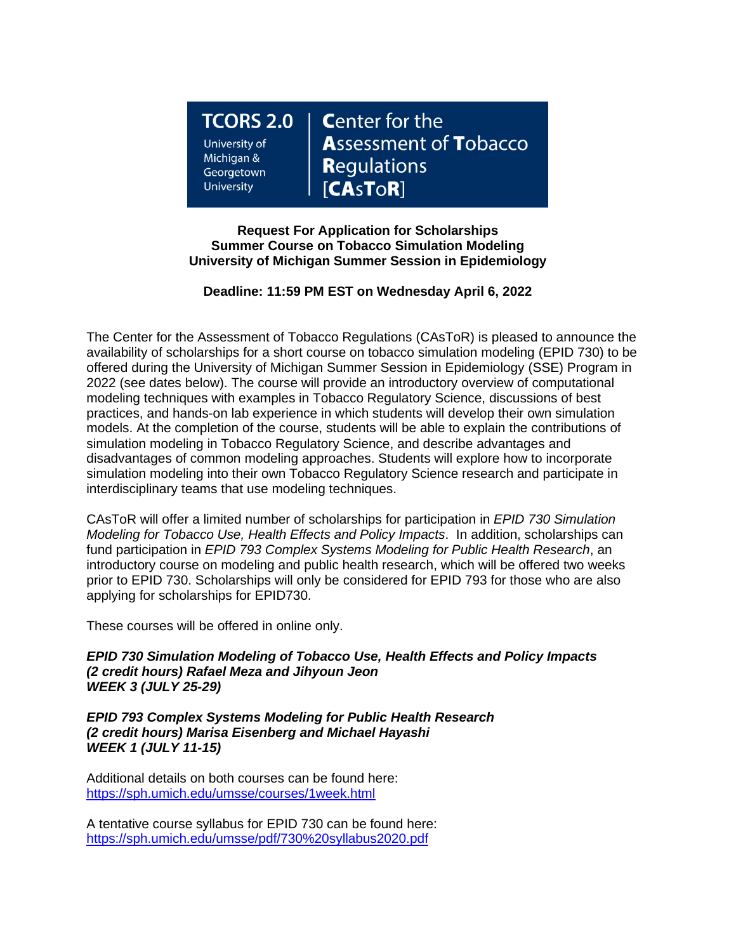**TCORS 2.0** University of Michigan & Georgetown **University** 

**Center for the Assessment of Tobacco Regulations**  $[**CASTOR**]$ 

**Request For Application for Scholarships Summer Course on Tobacco Simulation Modeling University of Michigan Summer Session in Epidemiology**

# **Deadline: 11:59 PM EST on Wednesday April 6, 2022**

The Center for the Assessment of Tobacco Regulations (CAsToR) is pleased to announce the availability of scholarships for a short course on tobacco simulation modeling (EPID 730) to be offered during the University of Michigan Summer Session in Epidemiology (SSE) Program in 2022 (see dates below). The course will provide an introductory overview of computational modeling techniques with examples in Tobacco Regulatory Science, discussions of best practices, and hands-on lab experience in which students will develop their own simulation models. At the completion of the course, students will be able to explain the contributions of simulation modeling in Tobacco Regulatory Science, and describe advantages and disadvantages of common modeling approaches. Students will explore how to incorporate simulation modeling into their own Tobacco Regulatory Science research and participate in interdisciplinary teams that use modeling techniques.

CAsToR will offer a limited number of scholarships for participation in *EPID 730 Simulation Modeling for Tobacco Use, Health Effects and Policy Impacts*. In addition, scholarships can fund participation in *EPID 793 Complex Systems Modeling for Public Health Research*, an introductory course on modeling and public health research, which will be offered two weeks prior to EPID 730. Scholarships will only be considered for EPID 793 for those who are also applying for scholarships for EPID730.

These courses will be offered in online only.

*EPID 730 Simulation Modeling of Tobacco Use, Health Effects and Policy Impacts (2 credit hours) Rafael Meza and Jihyoun Jeon WEEK 3 (JULY 25-29)*

*EPID 793 Complex Systems Modeling for Public Health Research (2 credit hours) Marisa Eisenberg and Michael Hayashi WEEK 1 (JULY 11-15)*

Additional details on both courses can be found here: <https://sph.umich.edu/umsse/courses/1week.html>

A tentative course syllabus for EPID 730 can be found here: <https://sph.umich.edu/umsse/pdf/730%20syllabus2020.pdf>